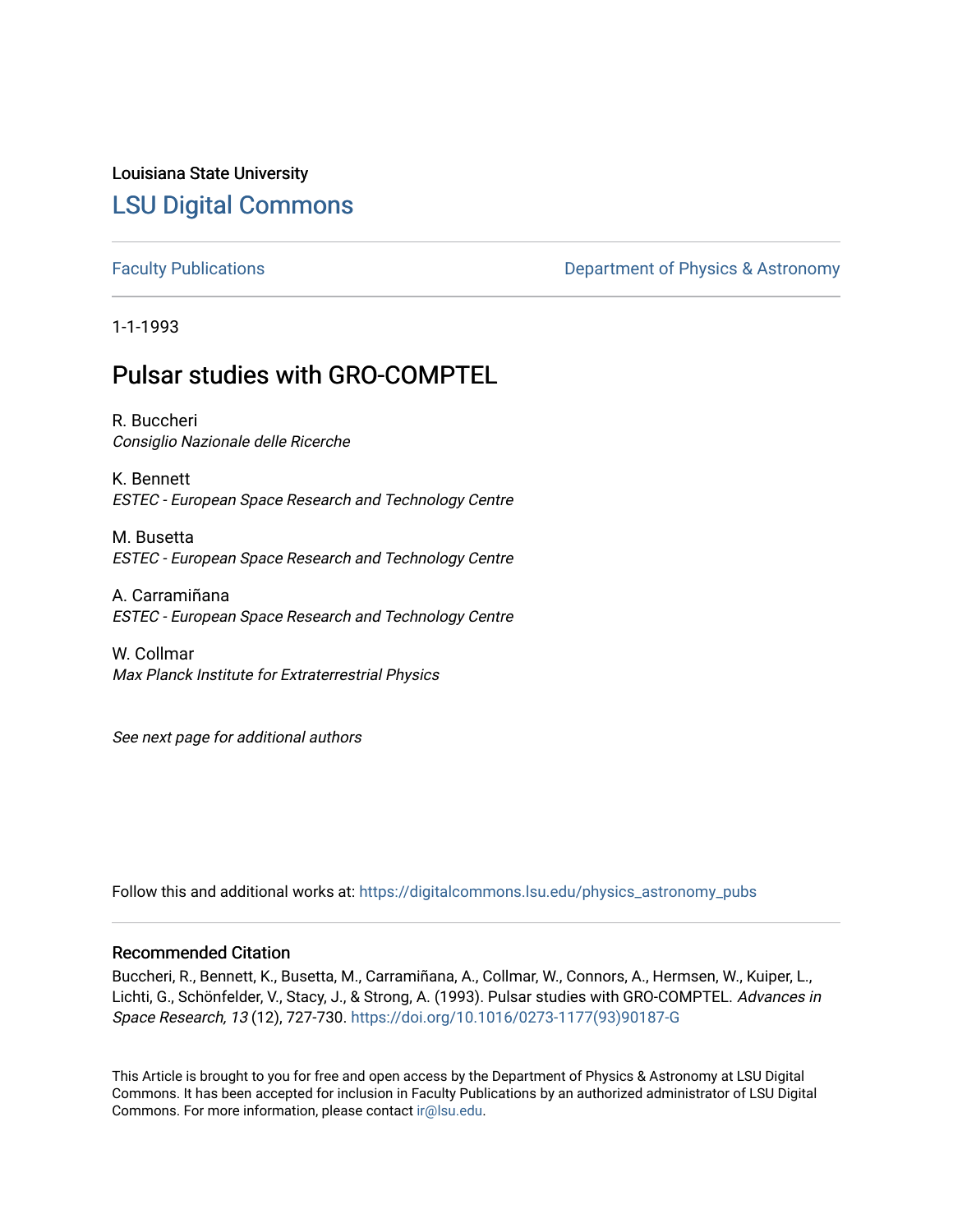# Louisiana State University [LSU Digital Commons](https://digitalcommons.lsu.edu/)

[Faculty Publications](https://digitalcommons.lsu.edu/physics_astronomy_pubs) **Exercise 2 and Table 2 and Table 2 and Table 2 and Table 2 and Table 2 and Table 2 and Table 2 and Table 2 and Table 2 and Table 2 and Table 2 and Table 2 and Table 2 and Table 2 and Table 2 and Table** 

1-1-1993

# Pulsar studies with GRO-COMPTEL

R. Buccheri Consiglio Nazionale delle Ricerche

K. Bennett ESTEC - European Space Research and Technology Centre

M. Busetta ESTEC - European Space Research and Technology Centre

A. Carramiñana ESTEC - European Space Research and Technology Centre

W. Collmar Max Planck Institute for Extraterrestrial Physics

See next page for additional authors

Follow this and additional works at: [https://digitalcommons.lsu.edu/physics\\_astronomy\\_pubs](https://digitalcommons.lsu.edu/physics_astronomy_pubs?utm_source=digitalcommons.lsu.edu%2Fphysics_astronomy_pubs%2F5197&utm_medium=PDF&utm_campaign=PDFCoverPages) 

### Recommended Citation

Buccheri, R., Bennett, K., Busetta, M., Carramiñana, A., Collmar, W., Connors, A., Hermsen, W., Kuiper, L., Lichti, G., Schönfelder, V., Stacy, J., & Strong, A. (1993). Pulsar studies with GRO-COMPTEL. Advances in Space Research, 13 (12), 727-730. [https://doi.org/10.1016/0273-1177\(93\)90187-G](https://doi.org/10.1016/0273-1177(93)90187-G) 

This Article is brought to you for free and open access by the Department of Physics & Astronomy at LSU Digital Commons. It has been accepted for inclusion in Faculty Publications by an authorized administrator of LSU Digital Commons. For more information, please contact [ir@lsu.edu](mailto:ir@lsu.edu).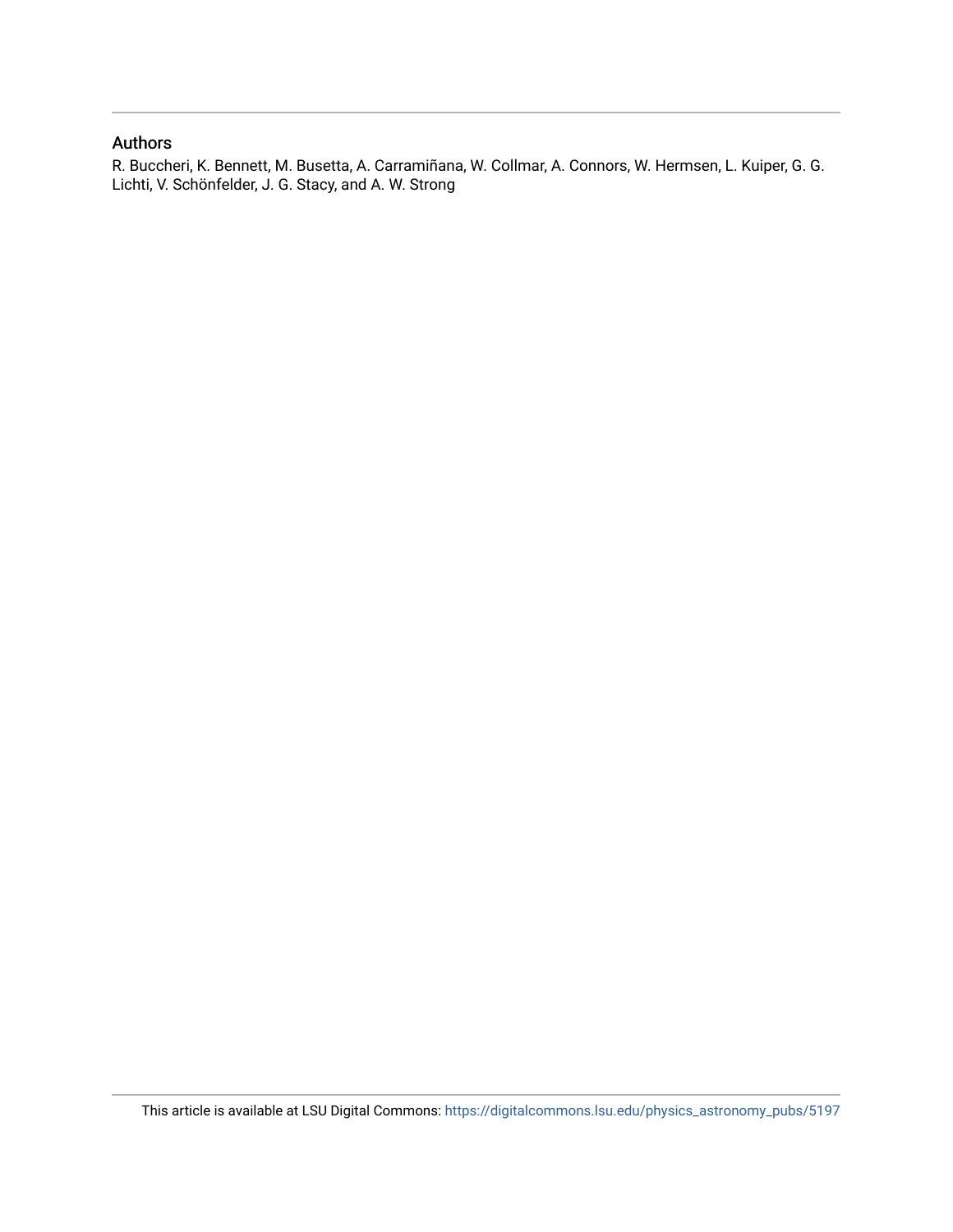### Authors

R. Buccheri, K. Bennett, M. Busetta, A. Carramiñana, W. Collmar, A. Connors, W. Hermsen, L. Kuiper, G. G. Lichti, V. Schönfelder, J. G. Stacy, and A. W. Strong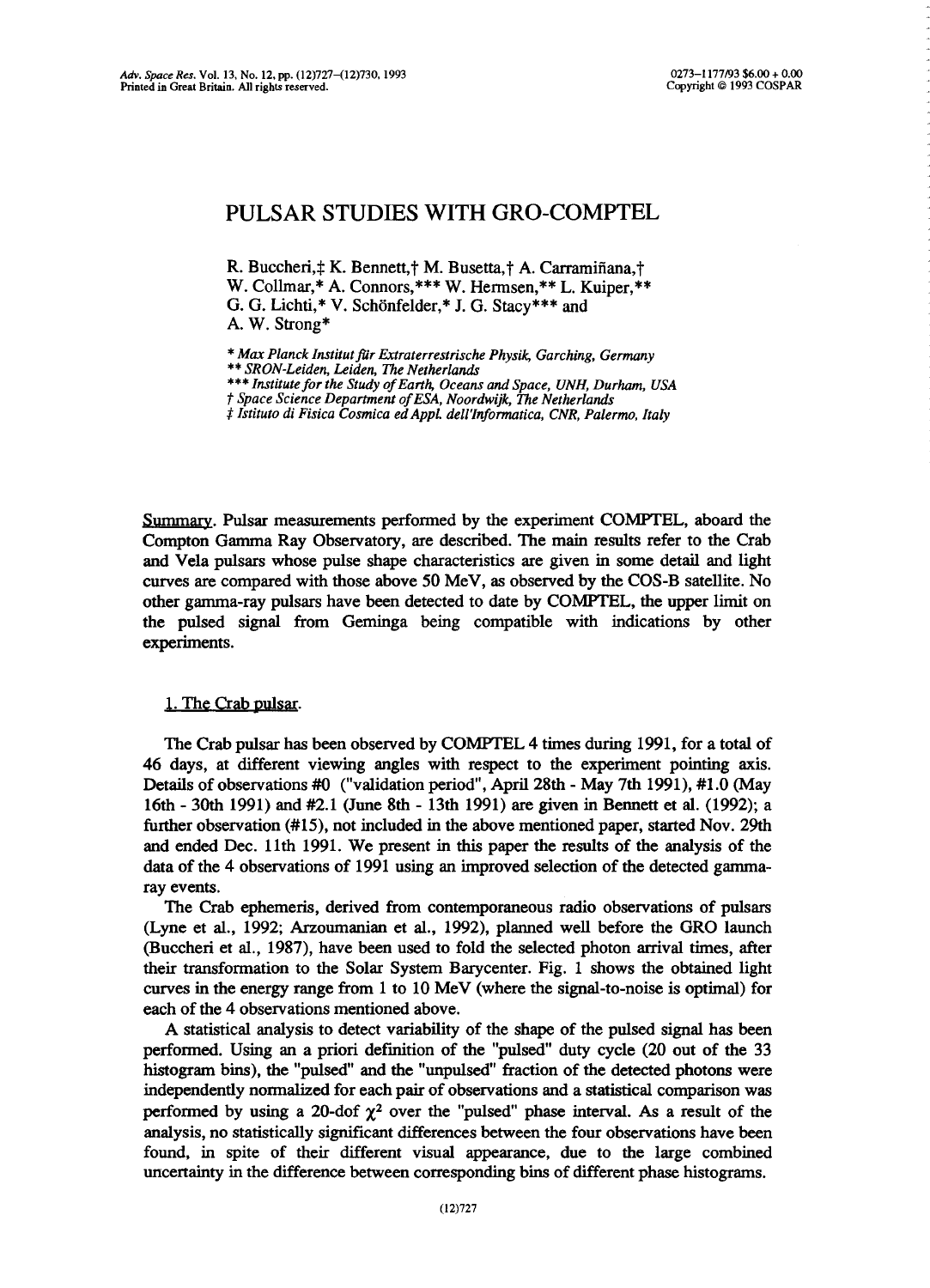## PULSAR STUDIES WITH GRO-COMPTEL

R. Buccheri, † K. Bennett, † M. Busetta, † A. Carramiñana, † W. Collmar,\* A. Connors,\*\*\* W. Hermsen,\*\* L. Kuiper,\*\* G. G. Lichti,\* V. Schönfelder,\* J. G. Stacy\*\*\* and A. W. Strong\*

\* *Max PlanckInstitutftir Extraterrestrische Physik; Garching, Germany* \*\* *SRON-Leiden, Leiden, The Netherlands*

~" *Institute fortheStudy ofEarth, Oceans and Space, UNH, Durham, USA*

t *Space Science Departmentof ESA,Noordwijk, The Netherlands*

*\$ Istituto di Fisica Cosmica edAppL dell'Informatica, CNR, Palermo, Italy*

Summary. Pulsar measurements performed by the experiment COMPTEL, aboard the Compton Gamma Ray Observatory, are described. The main results refer to the Crab and Vela pulsars whose pulse shape characteristics are given in some detail and light curves are compared with those above *50* MeV, as observed by the COS-B satellite. No other gamma-ray pulsars have been detected to date by COMPTEL, the upper limit on the pulsed signal from Geminga being compatible with indications by other experiments.

#### 1. The Crab pulsar.

The Crab pulsar has been observed by COMPTEL 4 times during 1991, for a total of 46 days, at different viewing angles with respect to the experiment pointing axis. Details of observations #0 ("validation period", April 28th - May 7th 1991), #1.0 (May 16th - 30th 1991) and #2.1 (June 8th - 13th 1991) are given in Bennett et al. (1992); a further observation *(#15),* not included in the above mentioned paper, started Nov. 29th and ended Dec. 11th 1991. We present in this paper the results of the analysis of the data of the 4 observations of 1991 using an improved selection of the detected gammaray events.

The Crab ephemeris, derived from contemporaneous radio observations of pulsars (Lyne et al., 1992; Arzoumanian et aL, 1992), planned well before the GRO launch (Buccheri et al., 1987), have been used to fold the selected photon arrival times, after their transformation to the Solar System Barycenter. Fig. <sup>1</sup> shows the obtained light curves in the energy range from <sup>1</sup> to 10 MeV (where the signal-to-noise is optimal) for each of the 4 observations mentioned above.

A statistical analysis to detect variability of the shape of the pulsed signal has been performed. Using an a priori defmition of the "pulsed" duty cycle (20 out of the <sup>33</sup> histogram bins), the "pulsed" and the "unpulsed" fraction of the detected photons were independently nonnalized foreach pair of observations and a statistical comparison was performed by using a 20-dof  $\chi^2$  over the "pulsed" phase interval. As a result of the analysis, no statistically significant differences between the four observations have been found, in spite of their different visual appearance, due to the large combined uncertainty in the difference between correspondingbins of different phase histograms.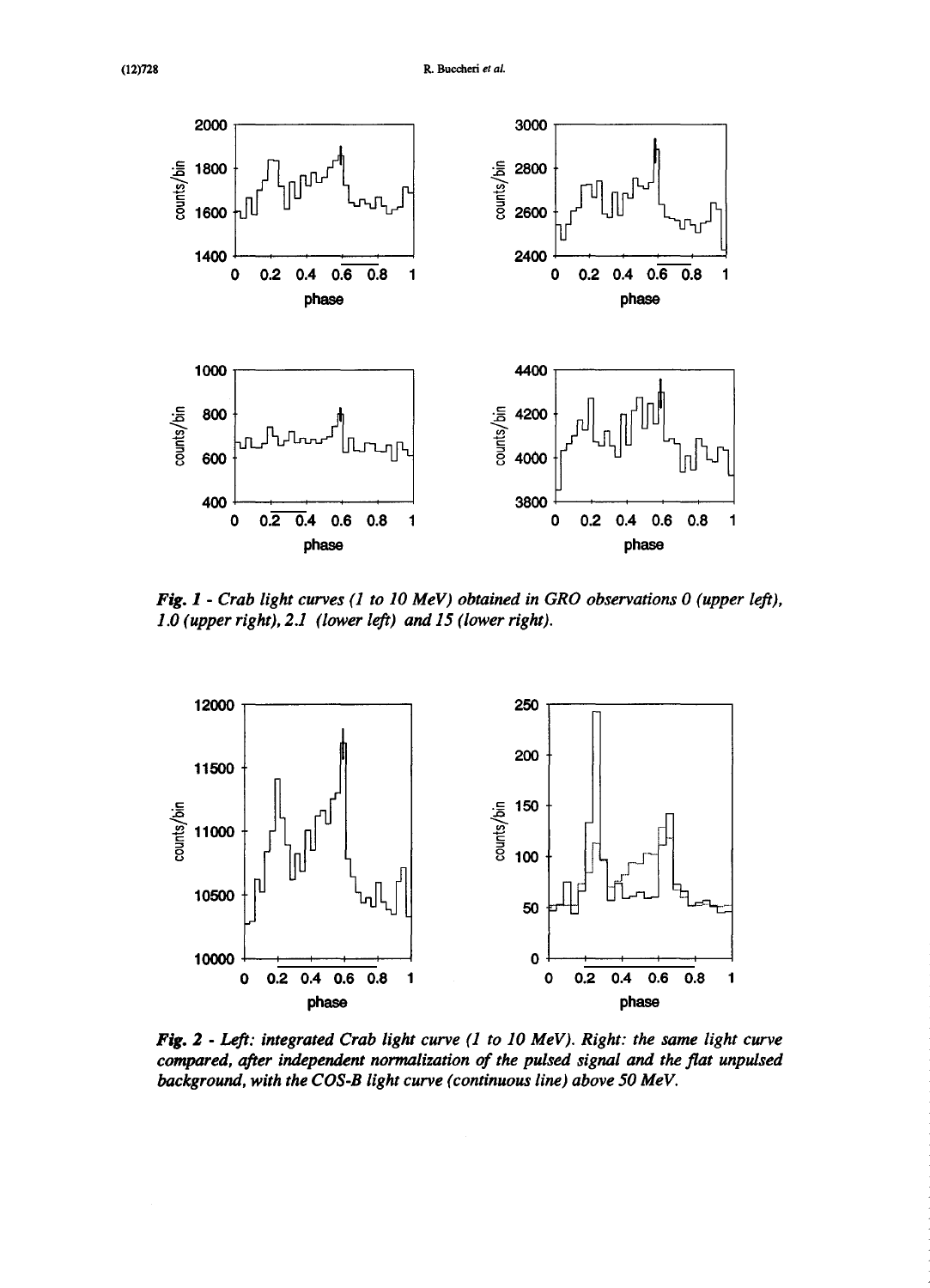

*Fig. 1* - *Crab light curves (1 to 10 MeV) obtained in GRO observations 0 (upper left), 1.0 (upperright), 2.1 (lower left) and 15 (lower right).*



*FIg. 2* - *Left: integrated Crab light curve (1 to 10 MeV). Right: the same light curve compared, after independent normalization of the pulsed signal and the flat unpulsed background, with the COS-B light curve (continuousline) above 50 MeV.*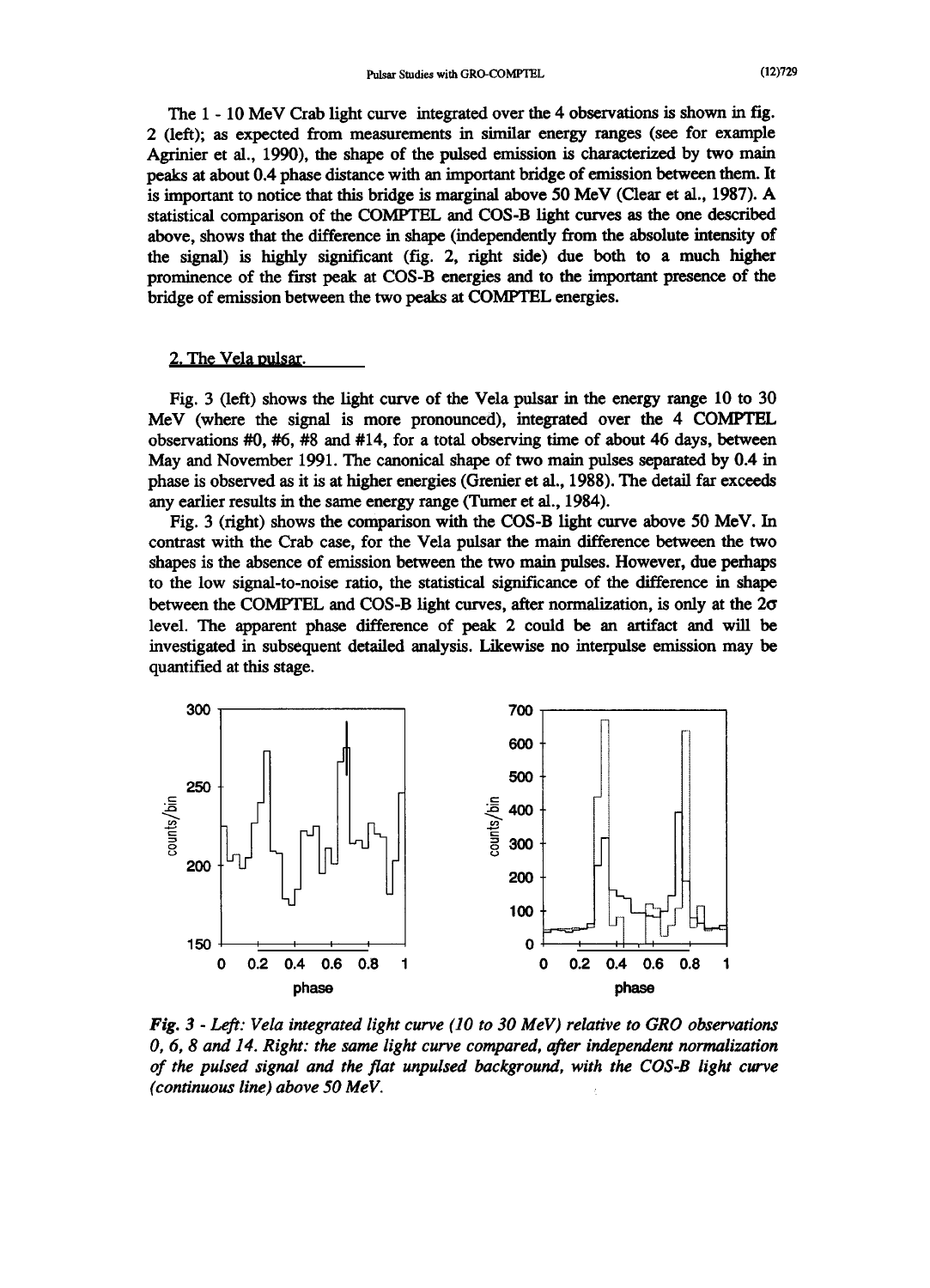The 1 - 10 MeV Crab light curve integrated over the 4 observations is shown in fig. 2 (left); as expected from measurements in similar energy ranges (see for example Agrinier et al., 1990), the shape of the pulsed emission is characterized by two main peaks at about 0.4 phase distance with an important bridge of emission between them. It is important to notice that this bridge is marginal above 50 MeV (Clear et aL, 1987). A statistical comparison of the COMPTEL and COS-B light curves as the one described above, shows that the difference in shape (independently from the absolute intensity of the signal) is highly significant (fig. 2, right side) due both to a much higher prominence of the first peak at COS-B energies and to the important presence of the bridge of emission between the two peaks at COMPTEL energies.

#### 2. The Vela pulsar.

Fig. 3 (left) shows the light curve of the Vela pulsar in the energy range  $10$  to  $30$ MeV (where the signal is more pronounced), integrated over the 4 COMPTEL observations #0, #6, #8 and #14, for atotal observing time of about 46 days, between May and November 1991. The canonical shape of two main pulses separated by 0.4 in phase is observed as it is at higher energies (Gremer etal., 1988). The detail far exceeds any earlier results in the same energy range (Turner et al., 1984).

Fig. 3 (right) shows the comparison with the COS-B light curve above 50 MeV. In contrast with the Crab case, for the Vela pulsar the main difference between the two shapes is the absence of emission between the two main pulses. However, due perhaps to the low signal-to-noise ratio, the statistical significance of the difference in shape between the COMPTEL and COS-B light curves, after normalization, is only at the  $2\sigma$ level. The apparent phase difference of peak 2 could be an artifact and will be investigated in subsequent detailed analysis. Likewise no interpulse emission may be quantified at this stage.



*Fig. 3* - *Left: Vela integrated light curve (10 to 30 MeV) relative to GRO observations 0, 6, 8 and 14. Right: the same light curve compared, afterindependent normalization of the pulsed signal and the flat unpulsed background, with the COS-B light curve (continuous line) above* 50 MeV.